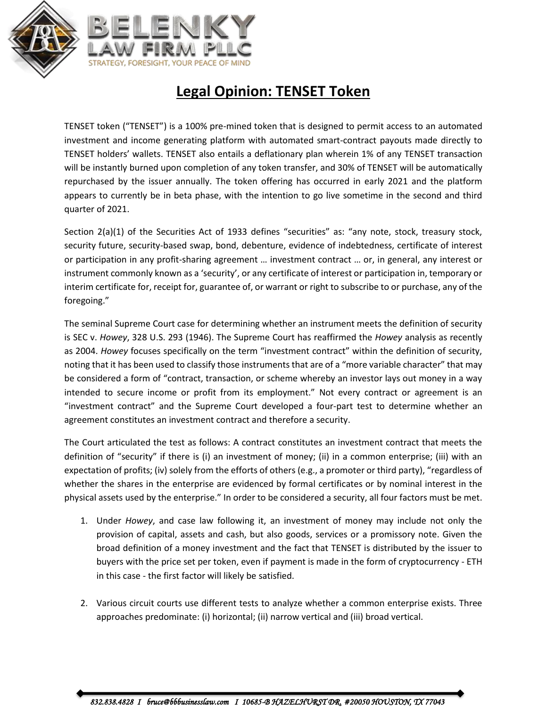

## **Legal Opinion: TENSET Token**

TENSET token ("TENSET") is a 100% pre-mined token that is designed to permit access to an automated investment and income generating platform with automated smart-contract payouts made directly to TENSET holders' wallets. TENSET also entails a deflationary plan wherein 1% of any TENSET transaction will be instantly burned upon completion of any token transfer, and 30% of TENSET will be automatically repurchased by the issuer annually. The token offering has occurred in early 2021 and the platform appears to currently be in beta phase, with the intention to go live sometime in the second and third quarter of 2021.

Section 2(a)(1) of the Securities Act of 1933 defines "securities" as: "any note, stock, treasury stock, security future, security-based swap, bond, debenture, evidence of indebtedness, certificate of interest or participation in any profit-sharing agreement … investment contract … or, in general, any interest or instrument commonly known as a 'security', or any certificate of interest or participation in, temporary or interim certificate for, receipt for, guarantee of, or warrant or right to subscribe to or purchase, any of the foregoing."

The seminal Supreme Court case for determining whether an instrument meets the definition of security is SEC v. *Howey*, 328 U.S. 293 (1946). The Supreme Court has reaffirmed the *Howey* analysis as recently as 2004. *Howey* focuses specifically on the term "investment contract" within the definition of security, noting that it has been used to classify those instruments that are of a "more variable character" that may be considered a form of "contract, transaction, or scheme whereby an investor lays out money in a way intended to secure income or profit from its employment." Not every contract or agreement is an "investment contract" and the Supreme Court developed a four-part test to determine whether an agreement constitutes an investment contract and therefore a security.

The Court articulated the test as follows: A contract constitutes an investment contract that meets the definition of "security" if there is (i) an investment of money; (ii) in a common enterprise; (iii) with an expectation of profits; (iv) solely from the efforts of others (e.g., a promoter or third party), "regardless of whether the shares in the enterprise are evidenced by formal certificates or by nominal interest in the physical assets used by the enterprise." In order to be considered a security, all four factors must be met.

- 1. Under *Howey*, and case law following it, an investment of money may include not only the provision of capital, assets and cash, but also goods, services or a promissory note. Given the broad definition of a money investment and the fact that TENSET is distributed by the issuer to buyers with the price set per token, even if payment is made in the form of cryptocurrency - ETH in this case - the first factor will likely be satisfied.
- 2. Various circuit courts use different tests to analyze whether a common enterprise exists. Three approaches predominate: (i) horizontal; (ii) narrow vertical and (iii) broad vertical.

 *832.838.4828 I bruce@bbbusinesslaw.com I 10685-B HAZELHURST DR. #20050 HOUSTON, TX 77043*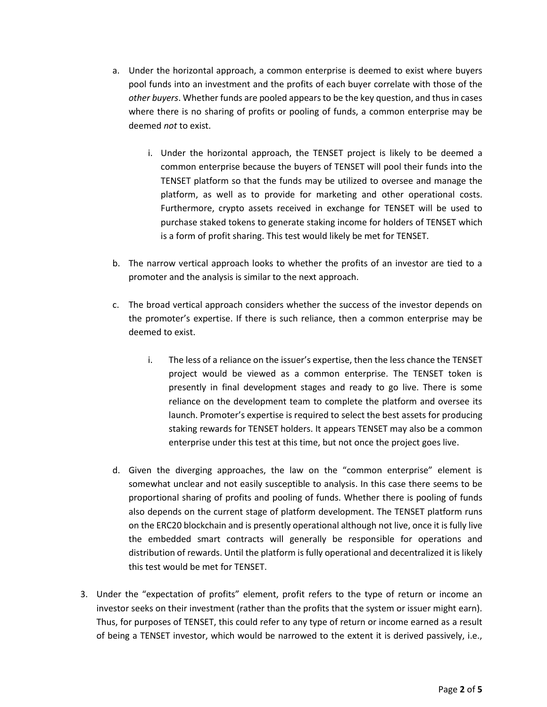- a. Under the horizontal approach, a common enterprise is deemed to exist where buyers pool funds into an investment and the profits of each buyer correlate with those of the *other buyers*. Whether funds are pooled appears to be the key question, and thus in cases where there is no sharing of profits or pooling of funds, a common enterprise may be deemed *not* to exist.
	- i. Under the horizontal approach, the TENSET project is likely to be deemed a common enterprise because the buyers of TENSET will pool their funds into the TENSET platform so that the funds may be utilized to oversee and manage the platform, as well as to provide for marketing and other operational costs. Furthermore, crypto assets received in exchange for TENSET will be used to purchase staked tokens to generate staking income for holders of TENSET which is a form of profit sharing. This test would likely be met for TENSET.
- b. The narrow vertical approach looks to whether the profits of an investor are tied to a promoter and the analysis is similar to the next approach.
- c. The broad vertical approach considers whether the success of the investor depends on the promoter's expertise. If there is such reliance, then a common enterprise may be deemed to exist.
	- i. The less of a reliance on the issuer's expertise, then the less chance the TENSET project would be viewed as a common enterprise. The TENSET token is presently in final development stages and ready to go live. There is some reliance on the development team to complete the platform and oversee its launch. Promoter's expertise is required to select the best assets for producing staking rewards for TENSET holders. It appears TENSET may also be a common enterprise under this test at this time, but not once the project goes live.
- d. Given the diverging approaches, the law on the "common enterprise" element is somewhat unclear and not easily susceptible to analysis. In this case there seems to be proportional sharing of profits and pooling of funds. Whether there is pooling of funds also depends on the current stage of platform development. The TENSET platform runs on the ERC20 blockchain and is presently operational although not live, once it is fully live the embedded smart contracts will generally be responsible for operations and distribution of rewards. Until the platform is fully operational and decentralized it is likely this test would be met for TENSET.
- 3. Under the "expectation of profits" element, profit refers to the type of return or income an investor seeks on their investment (rather than the profits that the system or issuer might earn). Thus, for purposes of TENSET, this could refer to any type of return or income earned as a result of being a TENSET investor, which would be narrowed to the extent it is derived passively, i.e.,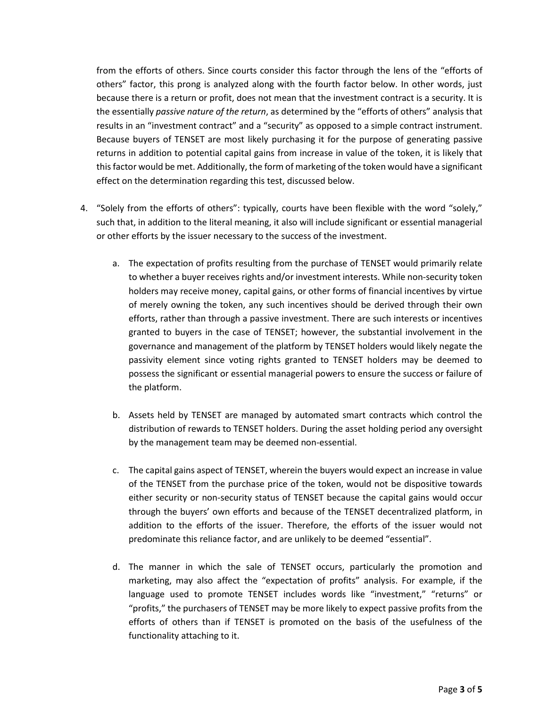from the efforts of others. Since courts consider this factor through the lens of the "efforts of others" factor, this prong is analyzed along with the fourth factor below. In other words, just because there is a return or profit, does not mean that the investment contract is a security. It is the essentially *passive nature of the return*, as determined by the "efforts of others" analysis that results in an "investment contract" and a "security" as opposed to a simple contract instrument. Because buyers of TENSET are most likely purchasing it for the purpose of generating passive returns in addition to potential capital gains from increase in value of the token, it is likely that this factor would be met. Additionally, the form of marketing of the token would have a significant effect on the determination regarding this test, discussed below.

- 4. "Solely from the efforts of others": typically, courts have been flexible with the word "solely," such that, in addition to the literal meaning, it also will include significant or essential managerial or other efforts by the issuer necessary to the success of the investment.
	- a. The expectation of profits resulting from the purchase of TENSET would primarily relate to whether a buyer receives rights and/or investment interests. While non-security token holders may receive money, capital gains, or other forms of financial incentives by virtue of merely owning the token, any such incentives should be derived through their own efforts, rather than through a passive investment. There are such interests or incentives granted to buyers in the case of TENSET; however, the substantial involvement in the governance and management of the platform by TENSET holders would likely negate the passivity element since voting rights granted to TENSET holders may be deemed to possess the significant or essential managerial powers to ensure the success or failure of the platform.
	- b. Assets held by TENSET are managed by automated smart contracts which control the distribution of rewards to TENSET holders. During the asset holding period any oversight by the management team may be deemed non-essential.
	- c. The capital gains aspect of TENSET, wherein the buyers would expect an increase in value of the TENSET from the purchase price of the token, would not be dispositive towards either security or non-security status of TENSET because the capital gains would occur through the buyers' own efforts and because of the TENSET decentralized platform, in addition to the efforts of the issuer. Therefore, the efforts of the issuer would not predominate this reliance factor, and are unlikely to be deemed "essential".
	- d. The manner in which the sale of TENSET occurs, particularly the promotion and marketing, may also affect the "expectation of profits" analysis. For example, if the language used to promote TENSET includes words like "investment," "returns" or "profits," the purchasers of TENSET may be more likely to expect passive profits from the efforts of others than if TENSET is promoted on the basis of the usefulness of the functionality attaching to it.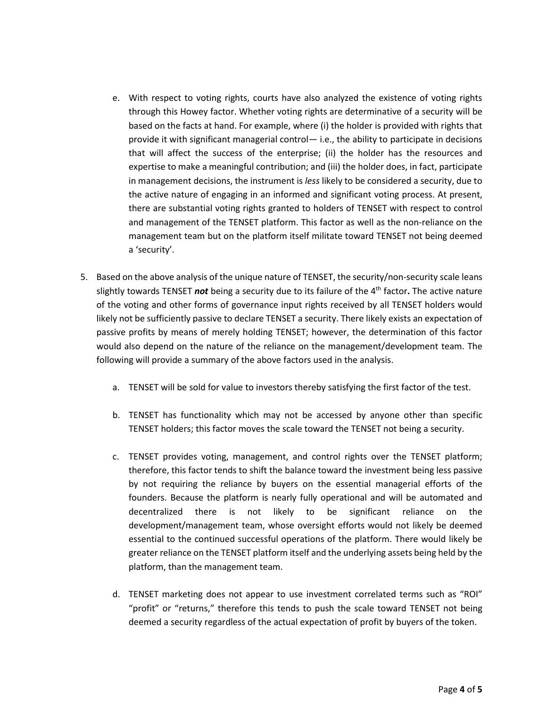- e. With respect to voting rights, courts have also analyzed the existence of voting rights through this Howey factor. Whether voting rights are determinative of a security will be based on the facts at hand. For example, where (i) the holder is provided with rights that provide it with significant managerial control— i.e., the ability to participate in decisions that will affect the success of the enterprise; (ii) the holder has the resources and expertise to make a meaningful contribution; and (iii) the holder does, in fact, participate in management decisions, the instrument is *less* likely to be considered a security, due to the active nature of engaging in an informed and significant voting process. At present, there are substantial voting rights granted to holders of TENSET with respect to control and management of the TENSET platform. This factor as well as the non-reliance on the management team but on the platform itself militate toward TENSET not being deemed a 'security'.
- 5. Based on the above analysis of the unique nature of TENSET, the security/non-security scale leans slightly towards TENSET *not* being a security due to its failure of the 4<sup>th</sup> factor. The active nature of the voting and other forms of governance input rights received by all TENSET holders would likely not be sufficiently passive to declare TENSET a security. There likely exists an expectation of passive profits by means of merely holding TENSET; however, the determination of this factor would also depend on the nature of the reliance on the management/development team. The following will provide a summary of the above factors used in the analysis.
	- a. TENSET will be sold for value to investors thereby satisfying the first factor of the test.
	- b. TENSET has functionality which may not be accessed by anyone other than specific TENSET holders; this factor moves the scale toward the TENSET not being a security.
	- c. TENSET provides voting, management, and control rights over the TENSET platform; therefore, this factor tends to shift the balance toward the investment being less passive by not requiring the reliance by buyers on the essential managerial efforts of the founders. Because the platform is nearly fully operational and will be automated and decentralized there is not likely to be significant reliance on the development/management team, whose oversight efforts would not likely be deemed essential to the continued successful operations of the platform. There would likely be greater reliance on the TENSET platform itself and the underlying assets being held by the platform, than the management team.
	- d. TENSET marketing does not appear to use investment correlated terms such as "ROI" "profit" or "returns," therefore this tends to push the scale toward TENSET not being deemed a security regardless of the actual expectation of profit by buyers of the token.